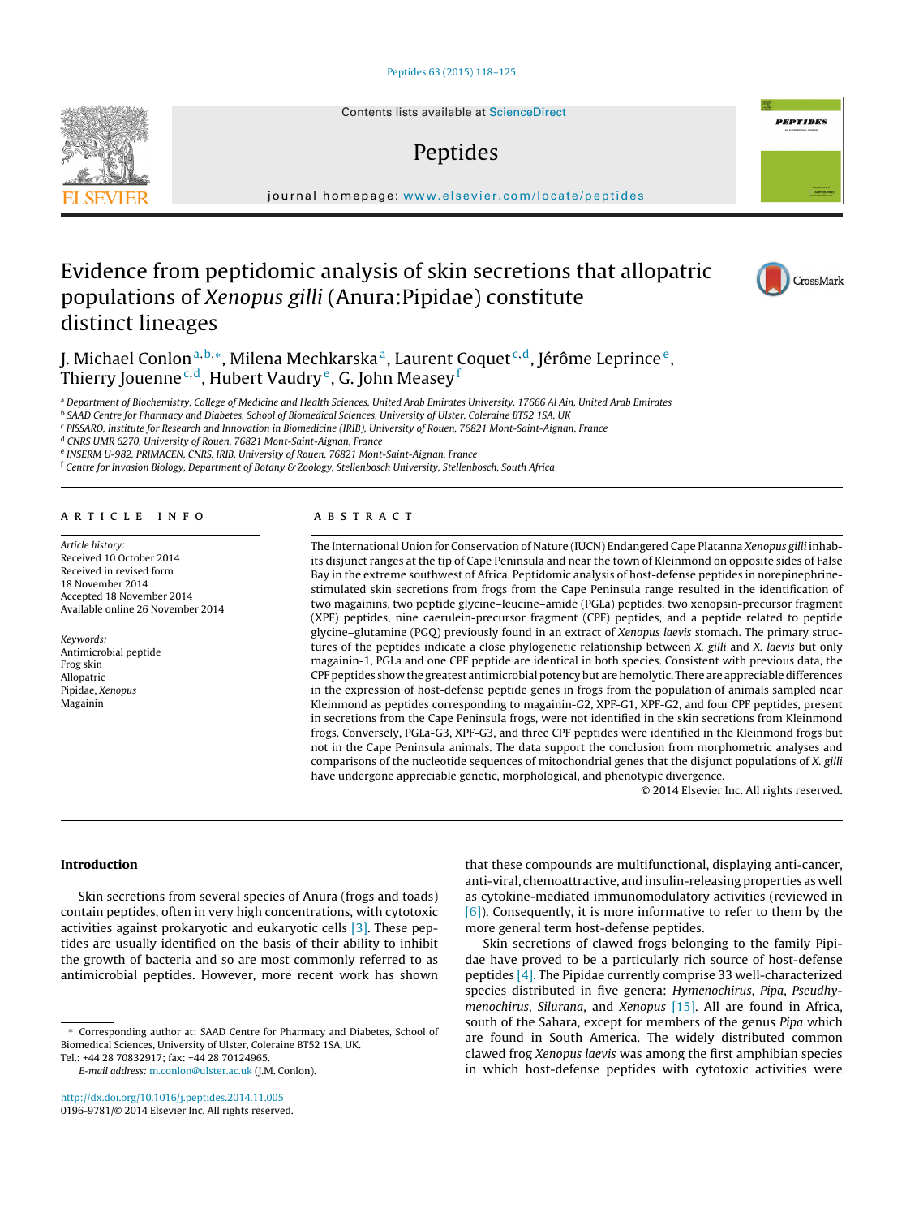Contents lists available at [ScienceDirect](http://www.sciencedirect.com/science/journal/01969781)

# Peptides

iournal homepage: [www.elsevier.com/locate/peptides](http://www.elsevier.com/locate/peptides)

# Evidence from peptidomic analysis of skin secretions that allopatric populations of Xenopus gilli (Anura:Pipidae) constitute distinct lineages

J. Michael Conlon<sup>a,b,∗</sup>, Milena Mechkarska<sup>a</sup>, Laurent Coquet<sup>c,d</sup>, Jérôme Leprince<sup>e</sup>, Thierry Jouenne<sup>c,d</sup>, Hubert Vaudry<sup>e</sup>, G. John Measey<sup>f</sup>

a Department of Biochemistry, College of Medicine and Health Sciences, United Arab Emirates University, 17666 Al Ain, United Arab Emirates

<sup>b</sup> SAAD Centre for Pharmacy and Diabetes, School of Biomedical Sciences, University of Ulster, Coleraine BT52 1SA, UK

<sup>c</sup> PISSARO, Institute for Research and Innovation in Biomedicine (IRIB), University of Rouen, 76821 Mont-Saint-Aignan, France

<sup>d</sup> CNRS UMR 6270, University of Rouen, 76821 Mont-Saint-Aignan, France

<sup>e</sup> INSERM U-982, PRIMACEN, CNRS, IRIB, University of Rouen, 76821 Mont-Saint-Aignan, France

 $f$  Centre for Invasion Biology, Department of Botany & Zoology, Stellenbosch University, Stellenbosch, South Africa

#### a r t i c l e i n f o

Article history: Received 10 October 2014 Received in revised form 18 November 2014 Accepted 18 November 2014 Available online 26 November 2014

Keywords: Antimicrobial peptide Frog skin Allopatric Pipidae, Xenopus Magainin

# A B S T R A C T

The International Union for Conservation of Nature (IUCN) Endangered Cape Platanna Xenopus gilli inhabits disjunct ranges at the tip of Cape Peninsula and near the town of Kleinmond on opposite sides of False Bay in the extreme southwest of Africa. Peptidomic analysis of host-defense peptides in norepinephrinestimulated skin secretions from frogs from the Cape Peninsula range resulted in the identification of two magainins, two peptide glycine–leucine–amide (PGLa) peptides, two xenopsin-precursor fragment (XPF) peptides, nine caerulein-precursor fragment (CPF) peptides, and a peptide related to peptide glycine–glutamine (PGQ) previously found in an extract of Xenopus laevis stomach. The primary structures of the peptides indicate a close phylogenetic relationship between X. gilli and X. laevis but only magainin-1, PGLa and one CPF peptide are identical in both species. Consistent with previous data, the CPF peptides show the greatest antimicrobial potency but are hemolytic. There are appreciable differences in the expression of host-defense peptide genes in frogs from the population of animals sampled near Kleinmond as peptides corresponding to magainin-G2, XPF-G1, XPF-G2, and four CPF peptides, present in secretions from the Cape Peninsula frogs, were not identified in the skin secretions from Kleinmond frogs. Conversely, PGLa-G3, XPF-G3, and three CPF peptides were identified in the Kleinmond frogs but not in the Cape Peninsula animals. The data support the conclusion from morphometric analyses and comparisons of the nucleotide sequences of mitochondrial genes that the disjunct populations of X. gilli have undergone appreciable genetic, morphological, and phenotypic divergence.

© 2014 Elsevier Inc. All rights reserved.

# **Introduction**

Skin secretions from several species of Anura (frogs and toads) contain peptides, often in very high concentrations, with cytotoxic activities against prokaryotic and eukaryotic cells [\[3\].](#page-6-0) These peptides are usually identified on the basis of their ability to inhibit the growth of bacteria and so are most commonly referred to as antimicrobial peptides. However, more recent work has shown

that these compounds are multifunctional, displaying anti-cancer, anti-viral, chemoattractive, and insulin-releasing properties as well as cytokine-mediated immunomodulatory activities (reviewed in [\[6\]\).](#page-6-0) Consequently, it is more informative to refer to them by the more general term host-defense peptides.

Skin secretions of clawed frogs belonging to the family Pipidae have proved to be a particularly rich source of host-defense peptides [\[4\].](#page-6-0) The Pipidae currently comprise 33 well-characterized species distributed in five genera: Hymenochirus, Pipa, Pseudhy-menochirus, Silurana, and Xenopus [\[15\].](#page-7-0) All are found in Africa, south of the Sahara, except for members of the genus Pipa which are found in South America. The widely distributed common clawed frog Xenopus laevis was among the first amphibian species in which host-defense peptides with cytotoxic activities were







<sup>∗</sup> Corresponding author at: SAAD Centre for Pharmacy and Diabetes, School of Biomedical Sciences, University of Ulster, Coleraine BT52 1SA, UK. Tel.: +44 28 70832917; fax: +44 28 70124965.

E-mail address: [m.conlon@ulster.ac.uk](mailto:m.conlon@ulster.ac.uk) (J.M. Conlon).

[http://dx.doi.org/10.1016/j.peptides.2014.11.005](dx.doi.org/10.1016/j.peptides.2014.11.005) 0196-9781/© 2014 Elsevier Inc. All rights reserved.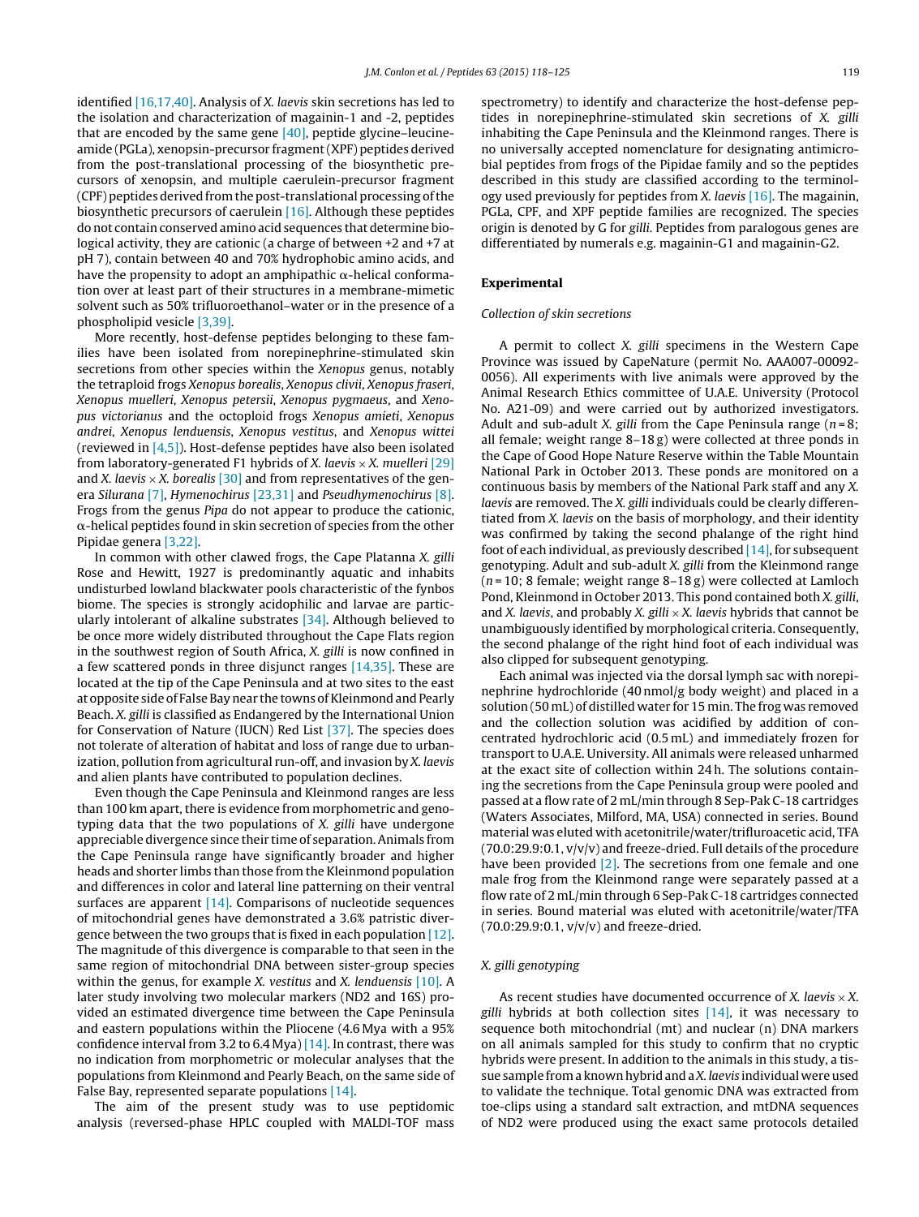identified [\[16,17,40\].](#page-7-0) Analysis of X. laevis skin secretions has led to the isolation and characterization of magainin-1 and -2, peptides that are encoded by the same gene  $[40]$ , peptide glycine–leucineamide (PGLa), xenopsin-precursor fragment(XPF) peptides derived from the post-translational processing of the biosynthetic precursors of xenopsin, and multiple caerulein-precursor fragment  $(CPF)$  peptides derived from the post-translational processing of the biosynthetic precursors of caerulein [\[16\].](#page-7-0) Although these peptides do not contain conserved amino acid sequences that determine biological activity, they are cationic (a charge of between +2 and +7 at pH 7), contain between 40 and 70% hydrophobic amino acids, and have the propensity to adopt an amphipathic  $\alpha$ -helical conformation over at least part of their structures in a membrane-mimetic solvent such as 50% trifluoroethanol–water or in the presence of a phospholipid vesicle [\[3,39\].](#page-6-0)

More recently, host-defense peptides belonging to these families have been isolated from norepinephrine-stimulated skin secretions from other species within the Xenopus genus, notably the tetraploid frogs Xenopus borealis, Xenopus clivii, Xenopus fraseri, Xenopus muelleri, Xenopus petersii, Xenopus pygmaeus, and Xenopus victorianus and the octoploid frogs Xenopus amieti, Xenopus andrei, Xenopus lenduensis, Xenopus vestitus, and Xenopus wittei (reviewed in  $[4,5]$ ). Host-defense peptides have also been isolated from laboratory-generated F1 hybrids of X. laevis  $\times$  X. muelleri [\[29\]](#page-7-0) and X. laevis  $\times$  X. borealis [\[30\]](#page-7-0) and from representatives of the genera Silurana [\[7\],](#page-6-0) Hymenochirus [\[23,31\]](#page-7-0) and Pseudhymenochirus [\[8\].](#page-6-0) Frogs from the genus Pipa do not appear to produce the cationic,  $\alpha$ -helical peptides found in skin secretion of species from the other Pipidae genera [\[3,22\].](#page-6-0)

In common with other clawed frogs, the Cape Platanna X. gilli Rose and Hewitt, 1927 is predominantly aquatic and inhabits undisturbed lowland blackwater pools characteristic of the fynbos biome. The species is strongly acidophilic and larvae are particularly intolerant of alkaline substrates [\[34\].](#page-7-0) Although believed to be once more widely distributed throughout the Cape Flats region in the southwest region of South Africa, X. gilli is now confined in a few scattered ponds in three disjunct ranges [\[14,35\].](#page-7-0) These are located at the tip of the Cape Peninsula and at two sites to the east at opposite side of False Bay near the towns of Kleinmond and Pearly Beach. X. gilli is classified as Endangered by the International Union for Conservation of Nature (IUCN) Red List [\[37\].](#page-7-0) The species does not tolerate of alteration of habitat and loss of range due to urbanization, pollution from agricultural run-off, and invasion by X. laevis and alien plants have contributed to population declines.

Even though the Cape Peninsula and Kleinmond ranges are less than 100 km apart, there is evidence from morphometric and genotyping data that the two populations of X. gilli have undergone appreciable divergence since their time of separation.Animals from the Cape Peninsula range have significantly broader and higher heads and shorter limbs than those from the Kleinmond population and differences in color and lateral line patterning on their ventral surfaces are apparent  $[14]$ . Comparisons of nucleotide sequences of mitochondrial genes have demonstrated a 3.6% patristic divergence between the two groups that is fixed in each population [\[12\].](#page-6-0) The magnitude of this divergence is comparable to that seen in the same region of mitochondrial DNA between sister-group species within the genus, for example *X*. *vestitus* and *X*. *lenduensis* [\[10\].](#page-6-0) A later study involving two molecular markers (ND2 and 16S) provided an estimated divergence time between the Cape Peninsula and eastern populations within the Pliocene (4.6 Mya with a 95% confidence interval from 3.2 to 6.4 Mya)  $[14]$ . In contrast, there was no indication from morphometric or molecular analyses that the populations from Kleinmond and Pearly Beach, on the same side of False Bay, represented separate populations [\[14\].](#page-7-0)

The aim of the present study was to use peptidomic analysis (reversed-phase HPLC coupled with MALDI-TOF mass spectrometry) to identify and characterize the host-defense peptides in norepinephrine-stimulated skin secretions of X. gilli inhabiting the Cape Peninsula and the Kleinmond ranges. There is no universally accepted nomenclature for designating antimicrobial peptides from frogs of the Pipidae family and so the peptides described in this study are classified according to the terminology used previously for peptides from X. laevis  $[16]$ . The magainin, PGLa, CPF, and XPF peptide families are recognized. The species origin is denoted by G for gilli. Peptides from paralogous genes are differentiated by numerals e.g. magainin-G1 and magainin-G2.

# **Experimental**

#### Collection of skin secretions

A permit to collect X. gilli specimens in the Western Cape Province was issued by CapeNature (permit No. AAA007-00092- 0056). All experiments with live animals were approved by the Animal Research Ethics committee of U.A.E. University (Protocol No. A21-09) and were carried out by authorized investigators. Adult and sub-adult X. gilli from the Cape Peninsula range ( $n = 8$ ; all female; weight range 8–18 g) were collected at three ponds in the Cape of Good Hope Nature Reserve within the Table Mountain National Park in October 2013. These ponds are monitored on a continuous basis by members of the National Park staff and any X. laevis are removed. The X. gilli individuals could be clearly differentiated from X. laevis on the basis of morphology, and their identity was confirmed by taking the second phalange of the right hind foot of each individual, as previously described  $[14]$ , for subsequent genotyping. Adult and sub-adult X. gilli from the Kleinmond range  $(n=10; 8$  female; weight range  $8-18$  g) were collected at Lamloch Pond, Kleinmond in October 2013. This pond contained both X. gilli, and X. laevis, and probably X. gilli  $\times$  X. laevis hybrids that cannot be unambiguously identified by morphological criteria. Consequently, the second phalange of the right hind foot of each individual was also clipped for subsequent genotyping.

Each animal was injected via the dorsal lymph sac with norepinephrine hydrochloride (40 nmol/g body weight) and placed in a solution (50 mL) of distilled water for 15 min. The frog was removed and the collection solution was acidified by addition of concentrated hydrochloric acid (0.5 mL) and immediately frozen for transport to U.A.E. University. All animals were released unharmed at the exact site of collection within 24 h. The solutions containing the secretions from the Cape Peninsula group were pooled and passed at a flow rate of 2 mL/min through 8 Sep-Pak C-18 cartridges (Waters Associates, Milford, MA, USA) connected in series. Bound material was eluted with acetonitrile/water/trifluroacetic acid, TFA (70.0:29.9:0.1, v/v/v) and freeze-dried. Full details of the procedure have been provided [\[2\].](#page-6-0) The secretions from one female and one male frog from the Kleinmond range were separately passed at a flow rate of 2 mL/min through 6 Sep-Pak C-18 cartridges connected in series. Bound material was eluted with acetonitrile/water/TFA  $(70.0:29.9:0.1, v/v/v)$  and freeze-dried.

# X. gilli genotyping

As recent studies have documented occurrence of X. laevis  $\times X$ . gilli hybrids at both collection sites  $[14]$ , it was necessary to sequence both mitochondrial (mt) and nuclear (n) DNA markers on all animals sampled for this study to confirm that no cryptic hybrids were present. In addition to the animals in this study, a tissue sample from a known hybrid and a X. laevis individual were used to validate the technique. Total genomic DNA was extracted from toe-clips using a standard salt extraction, and mtDNA sequences of ND2 were produced using the exact same protocols detailed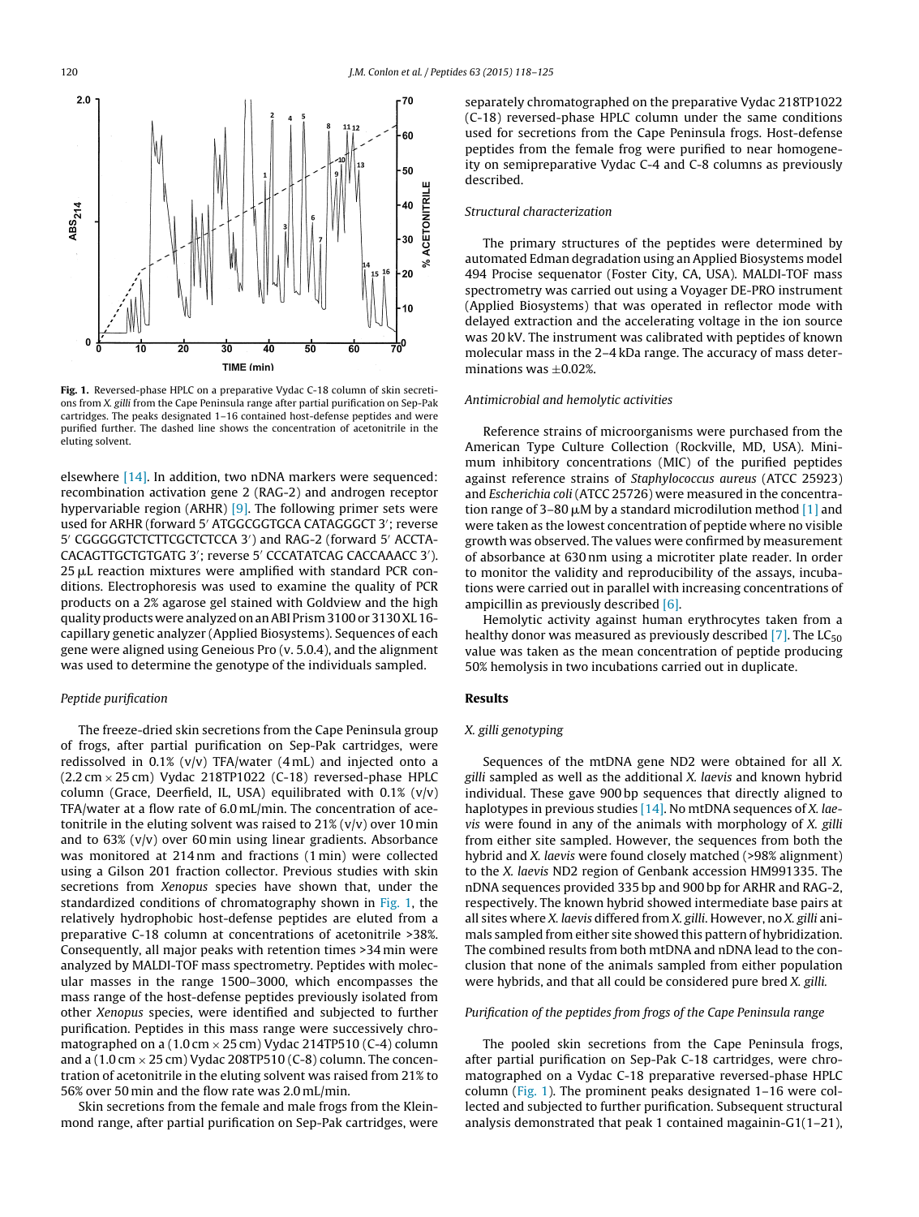

elsewhere [\[14\].](#page-7-0) In addition, two nDNA markers were sequenced: recombination activation gene 2 (RAG-2) and androgen receptor hypervariable region (ARHR) [\[9\].](#page-6-0) The following primer sets were used for ARHR (forward 5′ ATGGCGGTGCA CATAGGGCT 3′; reverse 5' CGGGGGTCTCTTCGCTCTCCA 3') and RAG-2 (forward 5' ACCTA-CACAGTTGCTGTGATG 3′; reverse 5′ CCCATATCAG CACCAAACC 3′).  $25 \mu$ L reaction mixtures were amplified with standard PCR conditions. Electrophoresis was used to examine the quality of PCR products on a 2% agarose gel stained with Goldview and the high qualityproducts were analyzedonanABI Prism3100 or 3130XL 16 capillary genetic analyzer (Applied Biosystems). Sequences of each gene were aligned using Geneious Pro (v. 5.0.4), and the alignment was used to determine the genotype of the individuals sampled.

### Peptide purification

The freeze-dried skin secretions from the Cape Peninsula group of frogs, after partial purification on Sep-Pak cartridges, were redissolved in  $0.1\%$  (v/v) TFA/water (4 mL) and injected onto a  $(2.2 \text{ cm} \times 25 \text{ cm})$  Vydac 218TP1022 (C-18) reversed-phase HPLC column (Grace, Deerfield, IL, USA) equilibrated with  $0.1\%$  (v/v) TFA/water at a flow rate of 6.0 mL/min. The concentration of acetonitrile in the eluting solvent was raised to  $21\%$  (v/v) over 10 min and to  $63\%$  (v/v) over  $60$  min using linear gradients. Absorbance was monitored at 214 nm and fractions (1 min) were collected using a Gilson 201 fraction collector. Previous studies with skin secretions from Xenopus species have shown that, under the standardized conditions of chromatography shown in Fig. 1, the relatively hydrophobic host-defense peptides are eluted from a preparative C-18 column at concentrations of acetonitrile >38%. Consequently, all major peaks with retention times >34 min were analyzed by MALDI-TOF mass spectrometry. Peptides with molecular masses in the range 1500–3000, which encompasses the mass range of the host-defense peptides previously isolated from other Xenopus species, were identified and subjected to further purification. Peptides in this mass range were successively chromatographed on a  $(1.0 \text{ cm} \times 25 \text{ cm})$  Vydac 214TP510 (C-4) column and a  $(1.0 \text{ cm} \times 25 \text{ cm})$  Vydac 208TP510 (C-8) column. The concentration of acetonitrile in the eluting solvent was raised from 21% to 56% over 50 min and the flow rate was 2.0 mL/min.

Skin secretions from the female and male frogs from the Kleinmond range, after partial purification on Sep-Pak cartridges, were separately chromatographed on the preparative Vydac 218TP1022 (C-18) reversed-phase HPLC column under the same conditions used for secretions from the Cape Peninsula frogs. Host-defense peptides from the female frog were purified to near homogeneity on semipreparative Vydac C-4 and C-8 columns as previously described.

#### Structural characterization

The primary structures of the peptides were determined by automated Edman degradation using an Applied Biosystems model 494 Procise sequenator (Foster City, CA, USA). MALDI-TOF mass spectrometry was carried out using a Voyager DE-PRO instrument (Applied Biosystems) that was operated in reflector mode with delayed extraction and the accelerating voltage in the ion source was 20 kV. The instrument was calibrated with peptides of known molecular mass in the 2–4 kDa range. The accuracy of mass determinations was  $+0.02\%$ .

#### Antimicrobial and hemolytic activities

Reference strains of microorganisms were purchased from the American Type Culture Collection (Rockville, MD, USA). Minimum inhibitory concentrations (MIC) of the purified peptides against reference strains of Staphylococcus aureus (ATCC 25923) and Escherichia coli (ATCC 25726) were measured in the concentration range of 3–80  $\mu$ M by a standard microdilution method [\[1\]](#page-6-0) and were taken as the lowest concentration of peptide where no visible growth was observed. The values were confirmed by measurement of absorbance at 630 nm using a microtiter plate reader. In order to monitor the validity and reproducibility of the assays, incubations were carried out in parallel with increasing concentrations of ampicillin as previously described [\[6\].](#page-6-0)

Hemolytic activity against human erythrocytes taken from a healthy donor was measured as previously described  $[7]$ . The LC<sub>50</sub> value was taken as the mean concentration of peptide producing 50% hemolysis in two incubations carried out in duplicate.

### **Results**

# X. gilli genotyping

Sequences of the mtDNA gene ND2 were obtained for all X. gilli sampled as well as the additional X. laevis and known hybrid individual. These gave 900 bp sequences that directly aligned to haplotypes in previous studies  $[14]$ . No mtDNA sequences of X. laevis were found in any of the animals with morphology of X. gilli from either site sampled. However, the sequences from both the hybrid and X. laevis were found closely matched (>98% alignment) to the X. laevis ND2 region of Genbank accession HM991335. The nDNA sequences provided 335 bp and 900 bp for ARHR and RAG-2, respectively. The known hybrid showed intermediate base pairs at all sites where X. laevis differed from X. gilli. However, no X. gilli animals sampled from either site showed this pattern of hybridization. The combined results from both mtDNA and nDNA lead to the conclusion that none of the animals sampled from either population were hybrids, and that all could be considered pure bred X. gilli.

#### Purification of the peptides from frogs of the Cape Peninsula range

The pooled skin secretions from the Cape Peninsula frogs, after partial purification on Sep-Pak C-18 cartridges, were chromatographed on a Vydac C-18 preparative reversed-phase HPLC column (Fig. 1). The prominent peaks designated 1–16 were collected and subjected to further purification. Subsequent structural analysis demonstrated that peak 1 contained magainin-G1(1–21),

<span id="page-2-0"></span>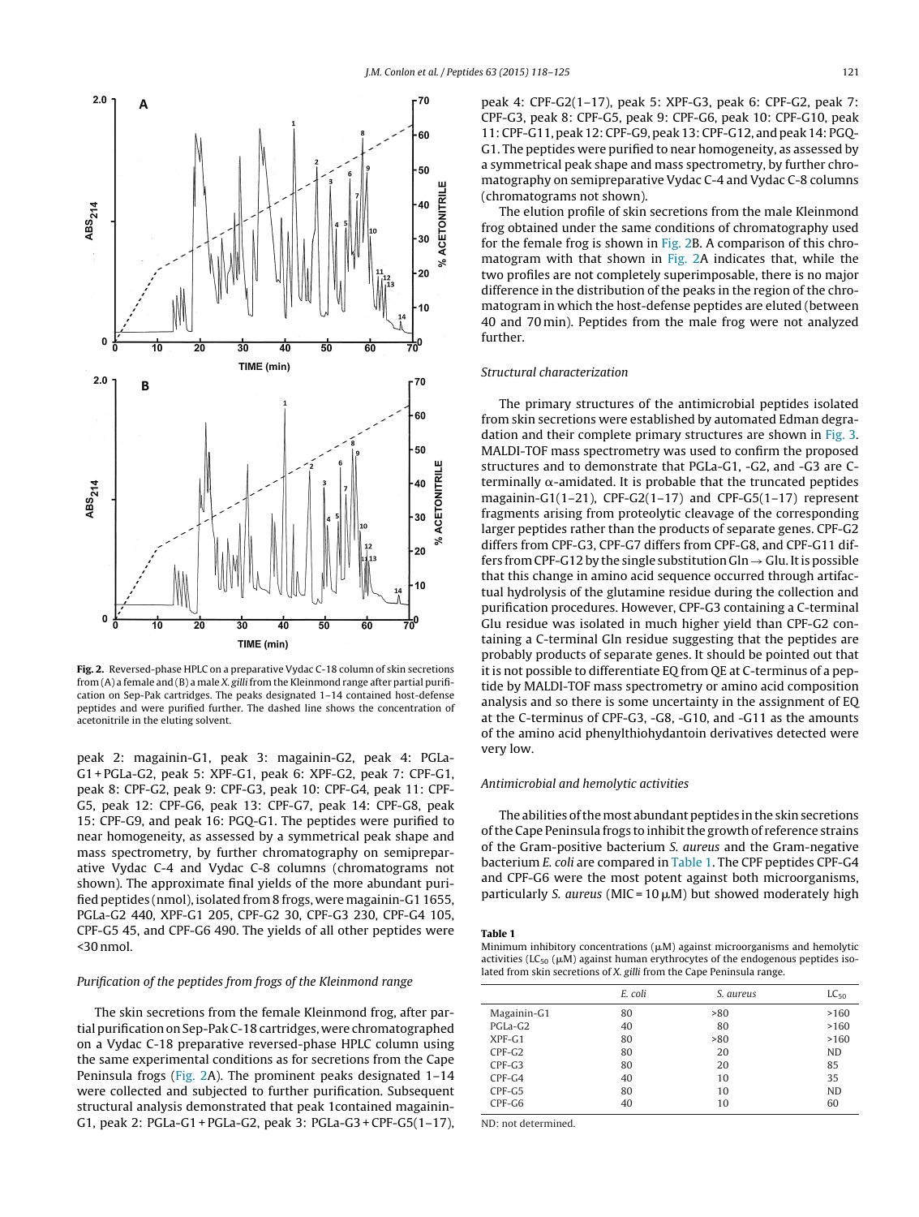<span id="page-3-0"></span>

**Fig. 2.** Reversed-phase HPLC on a preparative Vydac C-18 column of skin secretions from (A) a female and (B) a male X. gilli from the Kleinmond range after partial purification on Sep-Pak cartridges. The peaks designated 1–14 contained host-defense peptides and were purified further. The dashed line shows the concentration of acetonitrile in the eluting solvent.

peak 2: magainin-G1, peak 3: magainin-G2, peak 4: PGLa-G1 + PGLa-G2, peak 5: XPF-G1, peak 6: XPF-G2, peak 7: CPF-G1, peak 8: CPF-G2, peak 9: CPF-G3, peak 10: CPF-G4, peak 11: CPF-G5, peak 12: CPF-G6, peak 13: CPF-G7, peak 14: CPF-G8, peak 15: CPF-G9, and peak 16: PGQ-G1. The peptides were purified to near homogeneity, as assessed by a symmetrical peak shape and mass spectrometry, by further chromatography on semipreparative Vydac C-4 and Vydac C-8 columns (chromatograms not shown). The approximate final yields of the more abundant purified peptides (nmol), isolated from 8 frogs, were magainin-G1 1655, PGLa-G2 440, XPF-G1 205, CPF-G2 30, CPF-G3 230, CPF-G4 105, CPF-G5 45, and CPF-G6 490. The yields of all other peptides were  $<$ 30 nmol.

# Purification of the peptides from frogs of the Kleinmond range

The skin secretions from the female Kleinmond frog, after partial purification on Sep-Pak C-18 cartridges, were chromatographed on a Vydac C-18 preparative reversed-phase HPLC column using the same experimental conditions as for secretions from the Cape Peninsula frogs (Fig. 2A). The prominent peaks designated 1–14 were collected and subjected to further purification. Subsequent structural analysis demonstrated that peak 1contained magainin-G1, peak 2: PGLa-G1 + PGLa-G2, peak 3: PGLa-G3 + CPF-G5(1–17), peak 4: CPF-G2(1–17), peak 5: XPF-G3, peak 6: CPF-G2, peak 7: CPF-G3, peak 8: CPF-G5, peak 9: CPF-G6, peak 10: CPF-G10, peak 11:CPF-G11,peak 12:CPF-G9,peak 13:CPF-G12, andpeak 14: PGQ-G1. The peptides were purified to near homogeneity, as assessed by a symmetrical peak shape and mass spectrometry, by further chromatography on semipreparative Vydac C-4 and Vydac C-8 columns (chromatograms not shown).

The elution profile of skin secretions from the male Kleinmond frog obtained under the same conditions of chromatography used for the female frog is shown in Fig. 2B. A comparison of this chromatogram with that shown in Fig. 2A indicates that, while the two profiles are not completely superimposable, there is no major difference in the distribution of the peaks in the region of the chromatogram in which the host-defense peptides are eluted (between 40 and 70 min). Peptides from the male frog were not analyzed further.

#### Structural characterization

The primary structures of the antimicrobial peptides isolated from skin secretions were established by automated Edman degradation and their complete primary structures are shown in [Fig.](#page-4-0) 3. MALDI-TOF mass spectrometry was used to confirm the proposed structures and to demonstrate that PGLa-G1, -G2, and -G3 are C $t$ erminally  $\alpha$ -amidated. It is probable that the truncated peptides magainin-G1(1–21), CPF-G2(1–17) and CPF-G5(1–17) represent fragments arising from proteolytic cleavage of the corresponding larger peptides rather than the products of separate genes. CPF-G2 differs from CPF-G3, CPF-G7 differs from CPF-G8, and CPF-G11 differs from CPF-G12 by the single substitution Gln  $\rightarrow$  Glu. It is possible that this change in amino acid sequence occurred through artifactual hydrolysis of the glutamine residue during the collection and purification procedures. However, CPF-G3 containing a C-terminal Glu residue was isolated in much higher yield than CPF-G2 containing a C-terminal Gln residue suggesting that the peptides are probably products of separate genes. It should be pointed out that it is not possible to differentiate EQ from QE at C-terminus of a peptide by MALDI-TOF mass spectrometry or amino acid composition analysis and so there is some uncertainty in the assignment of EQ at the C-terminus of CPF-G3, -G8, -G10, and -G11 as the amounts of the amino acid phenylthiohydantoin derivatives detected were very low.

### Antimicrobial and hemolytic activities

The abilities of the most abundant peptides in the skin secretions of the Cape Peninsula frogs to inhibit the growth of reference strains of the Gram-positive bacterium S. aureus and the Gram-negative bacterium E. coli are compared in Table 1. The CPF peptides CPF-G4 and CPF-G6 were the most potent against both microorganisms, particularly S. aureus (MIC =  $10 \mu$ M) but showed moderately high

**Table 1**

Minimum inhibitory concentrations  $(\mu M)$  against microorganisms and hemolytic activities (LC<sub>50</sub> ( $\mu$ M) against human erythrocytes of the endogenous peptides isolated from skin secretions of X. gilli from the Cape Peninsula range.

|             | E. coli | S. aureus | $LC_{50}$ |
|-------------|---------|-----------|-----------|
| Magainin-G1 | 80      | >80       | >160      |
| PGLa-G2     | 40      | 80        | >160      |
| $XPF-G1$    | 80      | >80       | >160      |
| $CPF-G2$    | 80      | 20        | <b>ND</b> |
| $CPF-G3$    | 80      | 20        | 85        |
| $CPF-G4$    | 40      | 10        | 35        |
| $CPF-G5$    | 80      | 10        | <b>ND</b> |
| $CPF-G6$    | 40      | 10        | 60        |

ND: not determined.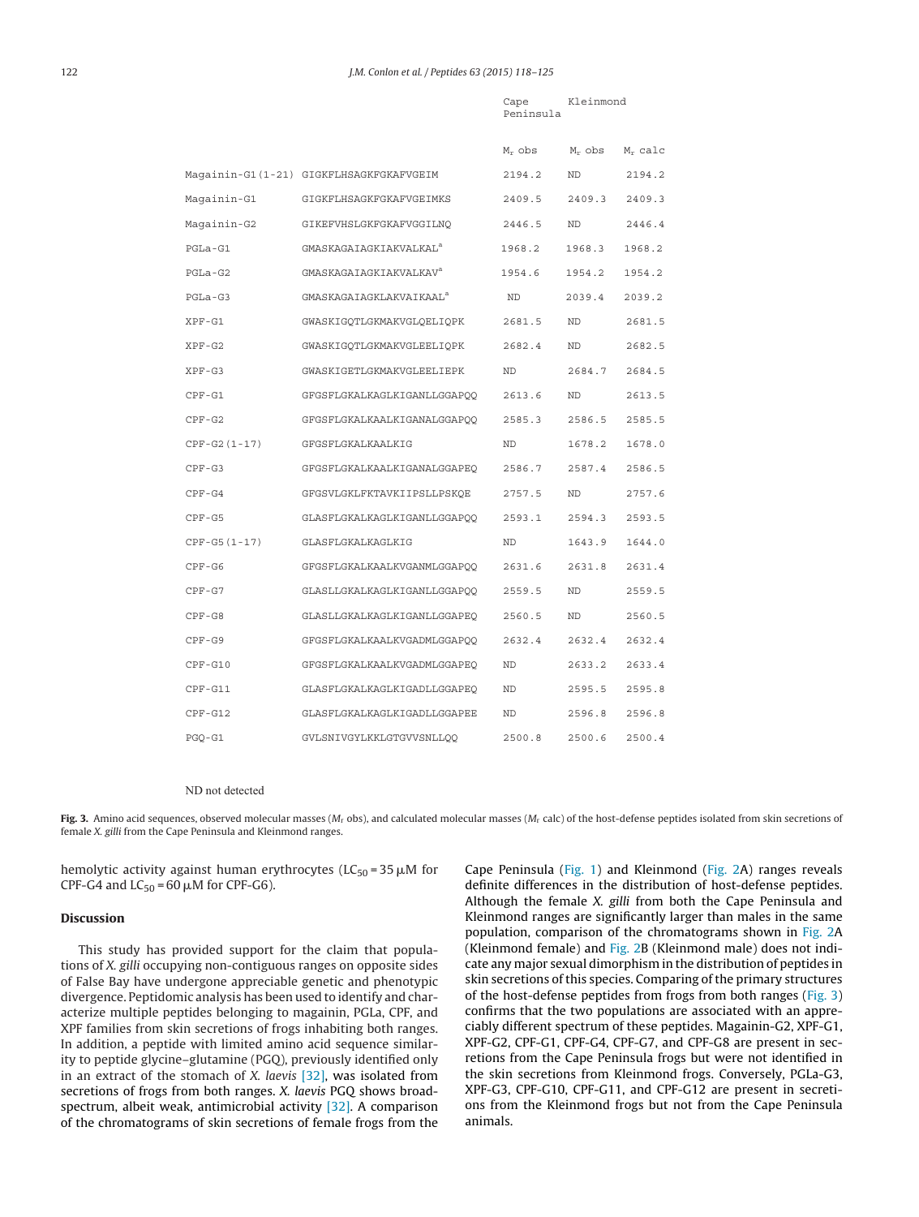<span id="page-4-0"></span>

|                |                                         | Cape<br>Peninsula | Kleinmond |            |
|----------------|-----------------------------------------|-------------------|-----------|------------|
|                |                                         | $M_r$ obs         | $M_r$ obs | $M_r$ calc |
|                | Magainin-G1(1-21) GIGKFLHSAGKFGKAFVGEIM | 2194.2            | ND.       | 2194.2     |
| Magainin-G1    | GIGKFLHSAGKFGKAFVGEIMKS                 | 2409.5            | 2409.3    | 2409.3     |
| Maqainin-G2    | GIKEFVHSLGKFGKAFVGGILNO                 | 2446.5            | ND        | 2446.4     |
| PGLa-G1        | GMASKAGAIAGKIAKVALKAL <sup>a</sup>      | 1968.2            | 1968.3    | 1968.2     |
| PGLa-G2        | GMASKAGAIAGKIAKVALKAV <sup>a</sup>      | 1954.6            | 1954.2    | 1954.2     |
| $PGLa-G3$      | GMASKAGAIAGKLAKVAIKAAL <sup>a</sup>     | ND                | 2039.4    | 2039.2     |
| $XPF-G1$       | GWASKIGQTLGKMAKVGLQELIQPK               | 2681.5            | ND        | 2681.5     |
| $XPF-G2$       | GWASKIGQTLGKMAKVGLEELIQPK               | 2682.4            | ND        | 2682.5     |
| $XPF-G3$       | GWASKIGETLGKMAKVGLEELIEPK               | ND                | 2684.7    | 2684.5     |
| $CPF-G1$       | GFGSFLGKALKAGLKIGANLLGGAPOO             | 2613.6            | ND        | 2613.5     |
| $CPF-G2$       | GFGSFLGKALKAALKIGANALGGAPOO             | 2585.3            | 2586.5    | 2585.5     |
| $CPF-G2(1-17)$ | GFGSFLGKALKAALKIG                       | ND                | 1678.2    | 1678.0     |
| $CPF-G3$       | GFGSFLGKALKAALKIGANALGGAPEO             | 2586.7            | 2587.4    | 2586.5     |
| $CPF-G4$       | GFGSVLGKLFKTAVKIIPSLLPSKQE              | 2757.5            | ND        | 2757.6     |
| CPF-G5         | GLASFLGKALKAGLKIGANLLGGAPOO             | 2593.1            | 2594.3    | 2593.5     |
| $CPF-G5(1-17)$ | GLASFLGKALKAGLKIG                       | ND                | 1643.9    | 1644.0     |
| $CPF-G6$       | GFGSFLGKALKAALKVGANMLGGAPQQ             | 2631.6            | 2631.8    | 2631.4     |
| $CPF-G7$       | GLASLLGKALKAGLKIGANLLGGAPOO             | 2559.5            | ND        | 2559.5     |
| $CPF-G8$       | GLASLLGKALKAGLKIGANLLGGAPEQ             | 2560.5            | ND        | 2560.5     |
| $CPF-G9$       | GFGSFLGKALKAALKVGADMLGGAPOO             | 2632.4            | 2632.4    | 2632.4     |
| $CPF-G10$      | GFGSFLGKALKAALKVGADMLGGAPEQ             | ND                | 2633.2    | 2633.4     |
| $CPF-G11$      | GLASFLGKALKAGLKIGADLLGGAPEO             | ND                | 2595.5    | 2595.8     |
| $CPF-G12$      | GLASFLGKALKAGLKIGADLLGGAPEE             | ND                | 2596.8    | 2596.8     |
| $PGQ-G1$       | GVLSNIVGYLKKLGTGVVSNLLOO                | 2500.8            | 2500.6    | 2500.4     |

#### ND not detected

Fig. 3. Amino acid sequences, observed molecular masses (M<sub>r</sub> obs), and calculated molecular masses (M<sub>r</sub> calc) of the host-defense peptides isolated from skin secretions of female X. gilli from the Cape Peninsula and Kleinmond ranges.

hemolytic activity against human erythrocytes ( $LC_{50}$  = 35  $\mu$ M for CPF-G4 and  $LC_{50}$  = 60  $\mu$ M for CPF-G6).

# **Discussion**

This study has provided support for the claim that populations of X. gilli occupying non-contiguous ranges on opposite sides of False Bay have undergone appreciable genetic and phenotypic divergence. Peptidomic analysis has been used to identify and characterize multiple peptides belonging to magainin, PGLa, CPF, and XPF families from skin secretions of frogs inhabiting both ranges. In addition, a peptide with limited amino acid sequence similarity to peptide glycine–glutamine (PGQ), previously identified only in an extract of the stomach of X. laevis [\[32\],](#page-7-0) was isolated from secretions of frogs from both ranges. X. laevis PGQ shows broadspectrum, albeit weak, antimicrobial activity [\[32\].](#page-7-0) A comparison of the chromatograms of skin secretions of female frogs from the

Cape Peninsula ([Fig.](#page-2-0) 1) and Kleinmond ([Fig.](#page-3-0) 2A) ranges reveals definite differences in the distribution of host-defense peptides. Although the female X. gilli from both the Cape Peninsula and Kleinmond ranges are significantly larger than males in the same population, comparison of the chromatograms shown in [Fig.](#page-3-0) 2A (Kleinmond female) and [Fig.](#page-3-0) 2B (Kleinmond male) does not indicate any major sexual dimorphism in the distribution of peptides in skin secretions of this species. Comparing of the primary structures of the host-defense peptides from frogs from both ranges (Fig. 3) confirms that the two populations are associated with an appreciably different spectrum of these peptides. Magainin-G2, XPF-G1, XPF-G2, CPF-G1, CPF-G4, CPF-G7, and CPF-G8 are present in secretions from the Cape Peninsula frogs but were not identified in the skin secretions from Kleinmond frogs. Conversely, PGLa-G3, XPF-G3, CPF-G10, CPF-G11, and CPF-G12 are present in secretions from the Kleinmond frogs but not from the Cape Peninsula animals.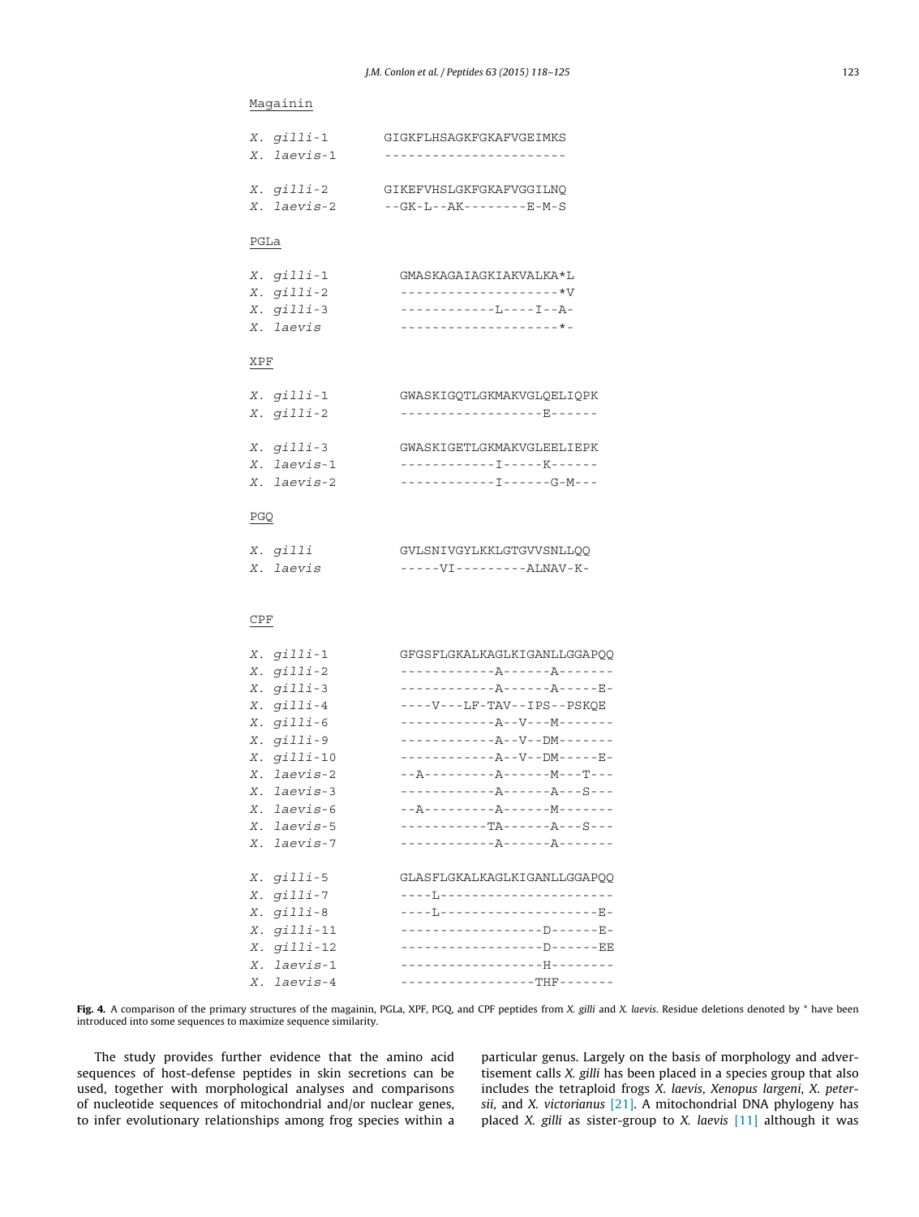# <span id="page-5-0"></span>Magainin

| $X.$ gilli-1 | GIGKFLHSAGKFGKAFVGEIMKS                 |
|--------------|-----------------------------------------|
| X. laevis-1  | -------------------                     |
|              |                                         |
| $X.$ gilli-2 | GIKEFVHSLGKFGKAFVGGILNO                 |
| X. laevis-2  | $ -GK$ $ L$ $  AK$ $       E$ $ M$ $ S$ |

# PGLa

| $X.$ gilli-1 | GMASKAGAIAGKIAKVALKA*L         |
|--------------|--------------------------------|
| $X.$ gilli-2 | ------------------- <b>*</b> V |
| $X.$ gilli-3 | ------------T --- T --A -      |
| X. laevis    | --------------------*-         |

# XPF

| $X.$ $q111i-1$ | GWASKIGOTLGKMAKVGLOELIOPK |
|----------------|---------------------------|
| $X.$ gilli-2   | ------------------E-----  |
|                |                           |
| $X.$ gilli-3   | GWASKIGETLGKMAKVGLEELIEPK |
| X. laevis-1    | ------------T----K-----   |
| X. laevis-2    | ------------------G-M---  |
|                |                           |

#### PGQ

| X. gilli  | GVLSNIVGYLKKLGTGVVSNLLOO |
|-----------|--------------------------|
| X. laevis | $---VI------ALNAV-K-$    |

# CPF

| X. gilli-1         | GFGSFLGKALKAGLKIGANLLGGAPOO             |
|--------------------|-----------------------------------------|
| X. gilli-2         | ------------A------A------              |
| X. gilli-3         | ------------A------A-----E-             |
| X. gilli-4         | ----V---LF-TAV--IPS--PSKOE              |
| X. gilli-6         | ------------A--V---M-------             |
| X. gilli-9         | ------------A--V--DM-------             |
| X. gilli-10        | ------------A--V--DM-----E-             |
| X. laevis-2        |                                         |
| X. laevis-3        | ------------A------A---S---             |
| X. laevis-6        |                                         |
| X. laevis-5        | $--- - - --- - TA--- - - - - - - - - -$ |
| X. laevis-7        | ------------A------A------              |
| X. gilli-5         | GLASFLGKALKAGLKIGANLLGGAPOO             |
| X. gilli-7         | ---- <u>I</u> -----------------------   |
| X. gilli-8         | ----L-------------------E-              |
| $X.$ $q111i-11$    | ------------------D-----E-              |
| X. <i>qilli-12</i> | ------------------D------EE             |
| X. laevis-1        | -------------------H--------            |
| X. laevis-4        | -----------------THF-------             |

Fig. 4. A comparison of the primary structures of the magainin, PGLa, XPF, PGQ, and CPF peptides from X. gilli and X. laevis. Residue deletions denoted by \* have been introduced into some sequences to maximize sequence similarity.

The study provides further evidence that the amino acid sequences of host-defense peptides in skin secretions can be used, together with morphological analyses and comparisons of nucleotide sequences of mitochondrial and/or nuclear genes, to infer evolutionary relationships among frog species within a

particular genus. Largely on the basis of morphology and advertisement calls X. gilli has been placed in a species group that also includes the tetraploid frogs X. laevis, Xenopus largeni, X. petersii, and X. victorianus  $[21]$ . A mitochondrial DNA phylogeny has placed X. gilli as sister-group to X. laevis  $[11]$  although it was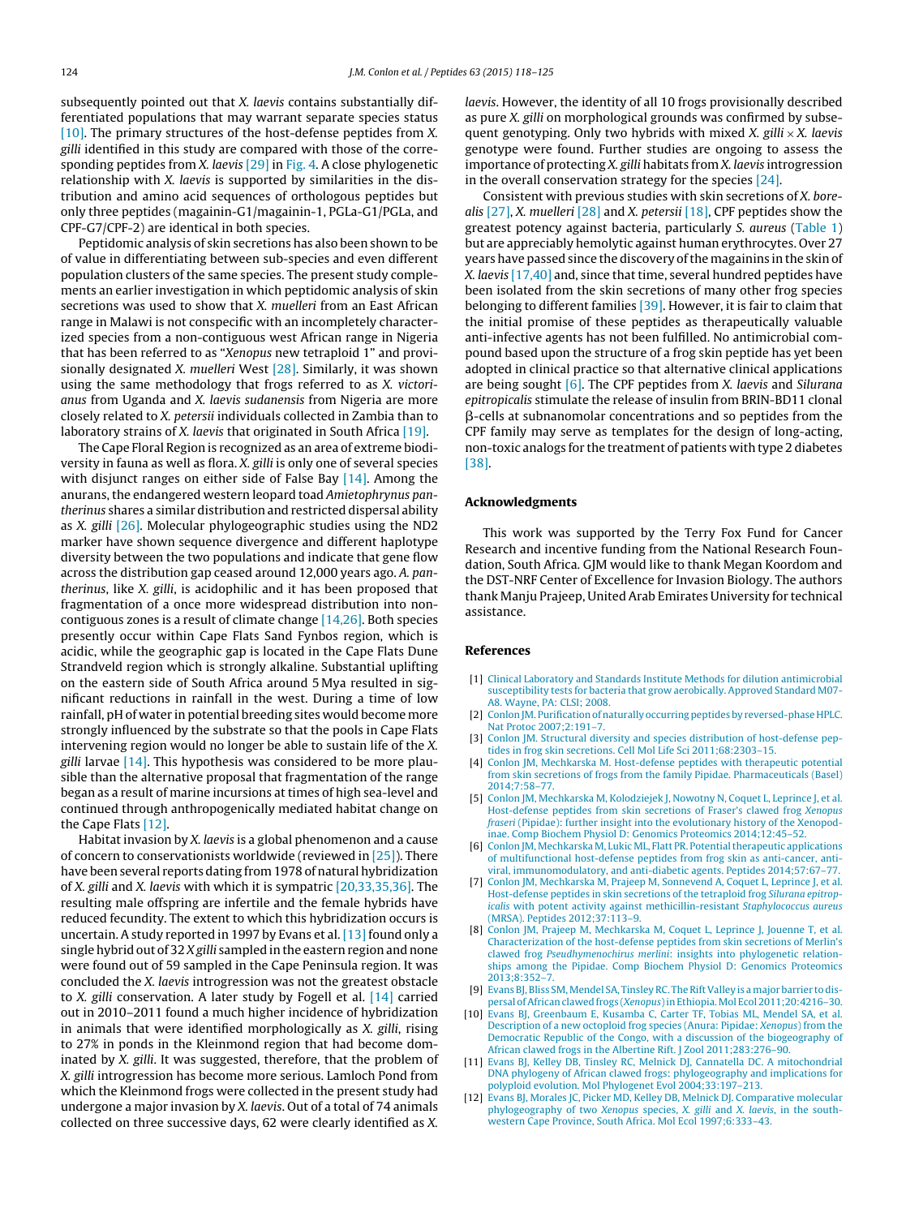<span id="page-6-0"></span>subsequently pointed out that X. laevis contains substantially differentiated populations that may warrant separate species status [10]. The primary structures of the host-defense peptides from X. gilli identified in this study are compared with those of the corresponding peptides from X. laevis [\[29\]](#page-7-0) in [Fig.](#page-5-0) 4. A close phylogenetic relationship with X. laevis is supported by similarities in the distribution and amino acid sequences of orthologous peptides but only three peptides (magainin-G1/magainin-1, PGLa-G1/PGLa, and CPF-G7/CPF-2) are identical in both species.

Peptidomic analysis of skin secretions has also been shown to be of value in differentiating between sub-species and even different population clusters of the same species. The present study complements an earlier investigation in which peptidomic analysis of skin secretions was used to show that X. muelleri from an East African range in Malawi is not conspecific with an incompletely characterized species from a non-contiguous west African range in Nigeria that has been referred to as "Xenopus new tetraploid 1" and provisionally designated X. muelleri West [\[28\].](#page-7-0) Similarly, it was shown using the same methodology that frogs referred to as X. victorianus from Uganda and X. laevis sudanensis from Nigeria are more closely related to X. petersii individuals collected in Zambia than to laboratory strains of X. laevis that originated in South Africa [\[19\].](#page-7-0)

The Cape Floral Region is recognized as an area of extreme biodiversity in fauna as well as flora. X. gilli is only one of several species with disjunct ranges on either side of False Bay [\[14\].](#page-7-0) Among the anurans, the endangered western leopard toad Amietophrynus pantherinus shares a similar distribution and restricted dispersal ability as X. gilli [\[26\].](#page-7-0) Molecular phylogeographic studies using the ND2 marker have shown sequence divergence and different haplotype diversity between the two populations and indicate that gene flow across the distribution gap ceased around 12,000 years ago. A. pantherinus, like X. gilli, is acidophilic and it has been proposed that fragmentation of a once more widespread distribution into noncontiguous zones is a result of climate change [\[14,26\].](#page-7-0) Both species presently occur within Cape Flats Sand Fynbos region, which is acidic, while the geographic gap is located in the Cape Flats Dune Strandveld region which is strongly alkaline. Substantial uplifting on the eastern side of South Africa around 5 Mya resulted in significant reductions in rainfall in the west. During a time of low rainfall, pH of water in potential breeding sites would become more strongly influenced by the substrate so that the pools in Cape Flats intervening region would no longer be able to sustain life of the X. gilli larvae  $[14]$ . This hypothesis was considered to be more plausible than the alternative proposal that fragmentation of the range began as a result of marine incursions at times of high sea-level and continued through anthropogenically mediated habitat change on the Cape Flats [12].

Habitat invasion by X. laevis is a global phenomenon and a cause of concern to conservationists worldwide (reviewed in [\[25\]\).](#page-7-0) There have been several reports dating from 1978 of natural hybridization of X. gilli and X. laevis with which it is sympatric [\[20,33,35,36\].](#page-7-0) The resulting male offspring are infertile and the female hybrids have reduced fecundity. The extent to which this hybridization occurs is uncertain. A study reported in 1997 by Evans et al. [\[13\]](#page-7-0) found only a single hybrid out of 32 X gilli sampled in the eastern region and none were found out of 59 sampled in the Cape Peninsula region. It was concluded the X. laevis introgression was not the greatest obstacle to X. gilli conservation. A later study by Fogell et al. [\[14\]](#page-7-0) carried out in 2010–2011 found a much higher incidence of hybridization in animals that were identified morphologically as X. gilli, rising to 27% in ponds in the Kleinmond region that had become dominated by X. gilli. It was suggested, therefore, that the problem of X. gilli introgression has become more serious. Lamloch Pond from which the Kleinmond frogs were collected in the present study had undergone a major invasion by X. laevis. Out of a total of 74 animals collected on three successive days, 62 were clearly identified as X.

laevis. However, the identity of all 10 frogs provisionally described as pure X. gilli on morphological grounds was confirmed by subsequent genotyping. Only two hybrids with mixed X, gilli  $\times$  X, laevis genotype were found. Further studies are ongoing to assess the importance of protecting X. gilli habitats from X. laevis introgression in the overall conservation strategy for the species [\[24\].](#page-7-0)

Consistent with previous studies with skin secretions of X. borealis  $[27]$ , X. muelleri  $[28]$  and X. petersii  $[18]$ , CPF peptides show the greatest potency against bacteria, particularly S. aureus ([Table](#page-3-0) 1) but are appreciably hemolytic against human erythrocytes. Over 27 years have passed since the discovery of the magainins in the skin of  $X.$  laevis [\[17,40\]](#page-7-0) and, since that time, several hundred peptides have been isolated from the skin secretions of many other frog species belonging to different families [\[39\].](#page-7-0) However, it is fair to claim that the initial promise of these peptides as therapeutically valuable anti-infective agents has not been fulfilled. No antimicrobial compound based upon the structure of a frog skin peptide has yet been adopted in clinical practice so that alternative clinical applications are being sought  $[6]$ . The CPF peptides from X. laevis and Silurana epitropicalis stimulate the release of insulin from BRIN-BD11 clonal  $\beta$ -cells at subnanomolar concentrations and so peptides from the CPF family may serve as templates for the design of long-acting, non-toxic analogs for the treatment of patients with type 2 diabetes [\[38\].](#page-7-0)

#### **Acknowledgments**

This work was supported by the Terry Fox Fund for Cancer Research and incentive funding from the National Research Foundation, South Africa. GJM would like to thank Megan Koordom and the DST-NRF Center of Excellence for Invasion Biology. The authors thank Manju Prajeep, United Arab Emirates University for technical assistance.

#### **References**

- [1] [Clinical](http://refhub.elsevier.com/S0196-9781(14)00340-4/sbref0005) [Laboratory](http://refhub.elsevier.com/S0196-9781(14)00340-4/sbref0005) [and](http://refhub.elsevier.com/S0196-9781(14)00340-4/sbref0005) [Standards](http://refhub.elsevier.com/S0196-9781(14)00340-4/sbref0005) [Institute](http://refhub.elsevier.com/S0196-9781(14)00340-4/sbref0005) [Methods](http://refhub.elsevier.com/S0196-9781(14)00340-4/sbref0005) [for](http://refhub.elsevier.com/S0196-9781(14)00340-4/sbref0005) [dilution](http://refhub.elsevier.com/S0196-9781(14)00340-4/sbref0005) [antimicrobial](http://refhub.elsevier.com/S0196-9781(14)00340-4/sbref0005) [susceptibility](http://refhub.elsevier.com/S0196-9781(14)00340-4/sbref0005) [tests](http://refhub.elsevier.com/S0196-9781(14)00340-4/sbref0005) [for](http://refhub.elsevier.com/S0196-9781(14)00340-4/sbref0005) [bacteria](http://refhub.elsevier.com/S0196-9781(14)00340-4/sbref0005) [that](http://refhub.elsevier.com/S0196-9781(14)00340-4/sbref0005) [grow](http://refhub.elsevier.com/S0196-9781(14)00340-4/sbref0005) [aerobically.](http://refhub.elsevier.com/S0196-9781(14)00340-4/sbref0005) [Approved](http://refhub.elsevier.com/S0196-9781(14)00340-4/sbref0005) [Standard](http://refhub.elsevier.com/S0196-9781(14)00340-4/sbref0005) [M07-](http://refhub.elsevier.com/S0196-9781(14)00340-4/sbref0005) [A8.](http://refhub.elsevier.com/S0196-9781(14)00340-4/sbref0005) [Wayne,](http://refhub.elsevier.com/S0196-9781(14)00340-4/sbref0005) [PA:](http://refhub.elsevier.com/S0196-9781(14)00340-4/sbref0005) [CLSI;](http://refhub.elsevier.com/S0196-9781(14)00340-4/sbref0005) [2008.](http://refhub.elsevier.com/S0196-9781(14)00340-4/sbref0005)
- [2] Conlon JM. Purification of naturally occurring peptides [by](http://refhub.elsevier.com/S0196-9781(14)00340-4/sbref0010) reversed-phase HPLC. [Nat](http://refhub.elsevier.com/S0196-9781(14)00340-4/sbref0010) [Protoc](http://refhub.elsevier.com/S0196-9781(14)00340-4/sbref0010) [2007;2:191–7.](http://refhub.elsevier.com/S0196-9781(14)00340-4/sbref0010)
- [Conlon](http://refhub.elsevier.com/S0196-9781(14)00340-4/sbref0015) [JM.](http://refhub.elsevier.com/S0196-9781(14)00340-4/sbref0015) [Structural](http://refhub.elsevier.com/S0196-9781(14)00340-4/sbref0015) [diversity](http://refhub.elsevier.com/S0196-9781(14)00340-4/sbref0015) [and](http://refhub.elsevier.com/S0196-9781(14)00340-4/sbref0015) [species](http://refhub.elsevier.com/S0196-9781(14)00340-4/sbref0015) [distribution](http://refhub.elsevier.com/S0196-9781(14)00340-4/sbref0015) [of](http://refhub.elsevier.com/S0196-9781(14)00340-4/sbref0015) [host-defense](http://refhub.elsevier.com/S0196-9781(14)00340-4/sbref0015) [pep](http://refhub.elsevier.com/S0196-9781(14)00340-4/sbref0015)[tides](http://refhub.elsevier.com/S0196-9781(14)00340-4/sbref0015) [in](http://refhub.elsevier.com/S0196-9781(14)00340-4/sbref0015) [frog](http://refhub.elsevier.com/S0196-9781(14)00340-4/sbref0015) [skin](http://refhub.elsevier.com/S0196-9781(14)00340-4/sbref0015) [secretions.](http://refhub.elsevier.com/S0196-9781(14)00340-4/sbref0015) [Cell](http://refhub.elsevier.com/S0196-9781(14)00340-4/sbref0015) [Mol](http://refhub.elsevier.com/S0196-9781(14)00340-4/sbref0015) [Life](http://refhub.elsevier.com/S0196-9781(14)00340-4/sbref0015) [Sci](http://refhub.elsevier.com/S0196-9781(14)00340-4/sbref0015) [2011;68:2303–15.](http://refhub.elsevier.com/S0196-9781(14)00340-4/sbref0015)
- [4] [Conlon](http://refhub.elsevier.com/S0196-9781(14)00340-4/sbref0020) [JM,](http://refhub.elsevier.com/S0196-9781(14)00340-4/sbref0020) [Mechkarska](http://refhub.elsevier.com/S0196-9781(14)00340-4/sbref0020) [M.](http://refhub.elsevier.com/S0196-9781(14)00340-4/sbref0020) [Host-defense](http://refhub.elsevier.com/S0196-9781(14)00340-4/sbref0020) [peptides](http://refhub.elsevier.com/S0196-9781(14)00340-4/sbref0020) [with](http://refhub.elsevier.com/S0196-9781(14)00340-4/sbref0020) [therapeutic](http://refhub.elsevier.com/S0196-9781(14)00340-4/sbref0020) [potential](http://refhub.elsevier.com/S0196-9781(14)00340-4/sbref0020) [from](http://refhub.elsevier.com/S0196-9781(14)00340-4/sbref0020) [skin](http://refhub.elsevier.com/S0196-9781(14)00340-4/sbref0020) [secretions](http://refhub.elsevier.com/S0196-9781(14)00340-4/sbref0020) [of](http://refhub.elsevier.com/S0196-9781(14)00340-4/sbref0020) [frogs](http://refhub.elsevier.com/S0196-9781(14)00340-4/sbref0020) [from](http://refhub.elsevier.com/S0196-9781(14)00340-4/sbref0020) [the](http://refhub.elsevier.com/S0196-9781(14)00340-4/sbref0020) [family](http://refhub.elsevier.com/S0196-9781(14)00340-4/sbref0020) [Pipidae.](http://refhub.elsevier.com/S0196-9781(14)00340-4/sbref0020) [Pharmaceuticals](http://refhub.elsevier.com/S0196-9781(14)00340-4/sbref0020) [\(Basel\)](http://refhub.elsevier.com/S0196-9781(14)00340-4/sbref0020) [2014;7:58–77.](http://refhub.elsevier.com/S0196-9781(14)00340-4/sbref0020)
- [5] [Conlon](http://refhub.elsevier.com/S0196-9781(14)00340-4/sbref0025) [JM,](http://refhub.elsevier.com/S0196-9781(14)00340-4/sbref0025) [Mechkarska](http://refhub.elsevier.com/S0196-9781(14)00340-4/sbref0025) [M,](http://refhub.elsevier.com/S0196-9781(14)00340-4/sbref0025) [Kolodziejek](http://refhub.elsevier.com/S0196-9781(14)00340-4/sbref0025) [J,](http://refhub.elsevier.com/S0196-9781(14)00340-4/sbref0025) [Nowotny](http://refhub.elsevier.com/S0196-9781(14)00340-4/sbref0025) [N,](http://refhub.elsevier.com/S0196-9781(14)00340-4/sbref0025) [Coquet](http://refhub.elsevier.com/S0196-9781(14)00340-4/sbref0025) [L,](http://refhub.elsevier.com/S0196-9781(14)00340-4/sbref0025) [Leprince](http://refhub.elsevier.com/S0196-9781(14)00340-4/sbref0025) [J,](http://refhub.elsevier.com/S0196-9781(14)00340-4/sbref0025) [et](http://refhub.elsevier.com/S0196-9781(14)00340-4/sbref0025) [al.](http://refhub.elsevier.com/S0196-9781(14)00340-4/sbref0025) [Host-defense](http://refhub.elsevier.com/S0196-9781(14)00340-4/sbref0025) [peptides](http://refhub.elsevier.com/S0196-9781(14)00340-4/sbref0025) [from](http://refhub.elsevier.com/S0196-9781(14)00340-4/sbref0025) [skin](http://refhub.elsevier.com/S0196-9781(14)00340-4/sbref0025) [secretions](http://refhub.elsevier.com/S0196-9781(14)00340-4/sbref0025) [of](http://refhub.elsevier.com/S0196-9781(14)00340-4/sbref0025) [Fraser's](http://refhub.elsevier.com/S0196-9781(14)00340-4/sbref0025) [clawed](http://refhub.elsevier.com/S0196-9781(14)00340-4/sbref0025) [frog](http://refhub.elsevier.com/S0196-9781(14)00340-4/sbref0025) [Xenopus](http://refhub.elsevier.com/S0196-9781(14)00340-4/sbref0025) [fraseri](http://refhub.elsevier.com/S0196-9781(14)00340-4/sbref0025) [\(Pipidae\):](http://refhub.elsevier.com/S0196-9781(14)00340-4/sbref0025) [further](http://refhub.elsevier.com/S0196-9781(14)00340-4/sbref0025) [insight](http://refhub.elsevier.com/S0196-9781(14)00340-4/sbref0025) [into](http://refhub.elsevier.com/S0196-9781(14)00340-4/sbref0025) [the](http://refhub.elsevier.com/S0196-9781(14)00340-4/sbref0025) [evolutionary](http://refhub.elsevier.com/S0196-9781(14)00340-4/sbref0025) [history](http://refhub.elsevier.com/S0196-9781(14)00340-4/sbref0025) [of](http://refhub.elsevier.com/S0196-9781(14)00340-4/sbref0025) [the](http://refhub.elsevier.com/S0196-9781(14)00340-4/sbref0025) [Xenopod](http://refhub.elsevier.com/S0196-9781(14)00340-4/sbref0025)[inae.](http://refhub.elsevier.com/S0196-9781(14)00340-4/sbref0025) [Comp](http://refhub.elsevier.com/S0196-9781(14)00340-4/sbref0025) [Biochem](http://refhub.elsevier.com/S0196-9781(14)00340-4/sbref0025) [Physiol](http://refhub.elsevier.com/S0196-9781(14)00340-4/sbref0025) [D:](http://refhub.elsevier.com/S0196-9781(14)00340-4/sbref0025) [Genomics](http://refhub.elsevier.com/S0196-9781(14)00340-4/sbref0025) [Proteomics](http://refhub.elsevier.com/S0196-9781(14)00340-4/sbref0025) [2014;12:45–52.](http://refhub.elsevier.com/S0196-9781(14)00340-4/sbref0025)
- [6] [Conlon](http://refhub.elsevier.com/S0196-9781(14)00340-4/sbref0030) [JM,](http://refhub.elsevier.com/S0196-9781(14)00340-4/sbref0030) [Mechkarska](http://refhub.elsevier.com/S0196-9781(14)00340-4/sbref0030) [M,](http://refhub.elsevier.com/S0196-9781(14)00340-4/sbref0030) [Lukic](http://refhub.elsevier.com/S0196-9781(14)00340-4/sbref0030) [ML,](http://refhub.elsevier.com/S0196-9781(14)00340-4/sbref0030) [Flatt](http://refhub.elsevier.com/S0196-9781(14)00340-4/sbref0030) [PR.](http://refhub.elsevier.com/S0196-9781(14)00340-4/sbref0030) Potential therapeutic [applications](http://refhub.elsevier.com/S0196-9781(14)00340-4/sbref0030) [of](http://refhub.elsevier.com/S0196-9781(14)00340-4/sbref0030) [multifunctional](http://refhub.elsevier.com/S0196-9781(14)00340-4/sbref0030) [host-defense](http://refhub.elsevier.com/S0196-9781(14)00340-4/sbref0030) [peptides](http://refhub.elsevier.com/S0196-9781(14)00340-4/sbref0030) [from](http://refhub.elsevier.com/S0196-9781(14)00340-4/sbref0030) [frog](http://refhub.elsevier.com/S0196-9781(14)00340-4/sbref0030) [skin](http://refhub.elsevier.com/S0196-9781(14)00340-4/sbref0030) [as](http://refhub.elsevier.com/S0196-9781(14)00340-4/sbref0030) [anti-cancer,](http://refhub.elsevier.com/S0196-9781(14)00340-4/sbref0030) [anti](http://refhub.elsevier.com/S0196-9781(14)00340-4/sbref0030)[viral,](http://refhub.elsevier.com/S0196-9781(14)00340-4/sbref0030) [immunomodulatory,](http://refhub.elsevier.com/S0196-9781(14)00340-4/sbref0030) [and](http://refhub.elsevier.com/S0196-9781(14)00340-4/sbref0030) [anti-diabetic](http://refhub.elsevier.com/S0196-9781(14)00340-4/sbref0030) [agents.](http://refhub.elsevier.com/S0196-9781(14)00340-4/sbref0030) [Peptides](http://refhub.elsevier.com/S0196-9781(14)00340-4/sbref0030) [2014;57:67](http://refhub.elsevier.com/S0196-9781(14)00340-4/sbref0030)–[77.](http://refhub.elsevier.com/S0196-9781(14)00340-4/sbref0030)
- [7] [Conlon](http://refhub.elsevier.com/S0196-9781(14)00340-4/sbref0035) [JM,](http://refhub.elsevier.com/S0196-9781(14)00340-4/sbref0035) [Mechkarska](http://refhub.elsevier.com/S0196-9781(14)00340-4/sbref0035) [M,](http://refhub.elsevier.com/S0196-9781(14)00340-4/sbref0035) [Prajeep](http://refhub.elsevier.com/S0196-9781(14)00340-4/sbref0035) [M,](http://refhub.elsevier.com/S0196-9781(14)00340-4/sbref0035) [Sonnevend](http://refhub.elsevier.com/S0196-9781(14)00340-4/sbref0035) [A,](http://refhub.elsevier.com/S0196-9781(14)00340-4/sbref0035) [Coquet](http://refhub.elsevier.com/S0196-9781(14)00340-4/sbref0035) [L,](http://refhub.elsevier.com/S0196-9781(14)00340-4/sbref0035) [Leprince](http://refhub.elsevier.com/S0196-9781(14)00340-4/sbref0035) [J,](http://refhub.elsevier.com/S0196-9781(14)00340-4/sbref0035) [et](http://refhub.elsevier.com/S0196-9781(14)00340-4/sbref0035) [al.](http://refhub.elsevier.com/S0196-9781(14)00340-4/sbref0035) [Host-defense](http://refhub.elsevier.com/S0196-9781(14)00340-4/sbref0035) [peptides](http://refhub.elsevier.com/S0196-9781(14)00340-4/sbref0035) [in](http://refhub.elsevier.com/S0196-9781(14)00340-4/sbref0035) [skin](http://refhub.elsevier.com/S0196-9781(14)00340-4/sbref0035) [secretions](http://refhub.elsevier.com/S0196-9781(14)00340-4/sbref0035) [of](http://refhub.elsevier.com/S0196-9781(14)00340-4/sbref0035) [the](http://refhub.elsevier.com/S0196-9781(14)00340-4/sbref0035) [tetraploid](http://refhub.elsevier.com/S0196-9781(14)00340-4/sbref0035) [frog](http://refhub.elsevier.com/S0196-9781(14)00340-4/sbref0035) [Silurana](http://refhub.elsevier.com/S0196-9781(14)00340-4/sbref0035) [epitrop](http://refhub.elsevier.com/S0196-9781(14)00340-4/sbref0035)[icalis](http://refhub.elsevier.com/S0196-9781(14)00340-4/sbref0035) [with](http://refhub.elsevier.com/S0196-9781(14)00340-4/sbref0035) [potent](http://refhub.elsevier.com/S0196-9781(14)00340-4/sbref0035) [activity](http://refhub.elsevier.com/S0196-9781(14)00340-4/sbref0035) [against](http://refhub.elsevier.com/S0196-9781(14)00340-4/sbref0035) [methicillin-resistant](http://refhub.elsevier.com/S0196-9781(14)00340-4/sbref0035) [Staphylococcus](http://refhub.elsevier.com/S0196-9781(14)00340-4/sbref0035) [aureus](http://refhub.elsevier.com/S0196-9781(14)00340-4/sbref0035) [\(MRSA\).](http://refhub.elsevier.com/S0196-9781(14)00340-4/sbref0035) [Peptides](http://refhub.elsevier.com/S0196-9781(14)00340-4/sbref0035) [2012;37:113](http://refhub.elsevier.com/S0196-9781(14)00340-4/sbref0035)–[9.](http://refhub.elsevier.com/S0196-9781(14)00340-4/sbref0035)
- [8] [Conlon](http://refhub.elsevier.com/S0196-9781(14)00340-4/sbref0040) [JM,](http://refhub.elsevier.com/S0196-9781(14)00340-4/sbref0040) [Prajeep](http://refhub.elsevier.com/S0196-9781(14)00340-4/sbref0040) [M,](http://refhub.elsevier.com/S0196-9781(14)00340-4/sbref0040) [Mechkarska](http://refhub.elsevier.com/S0196-9781(14)00340-4/sbref0040) [M,](http://refhub.elsevier.com/S0196-9781(14)00340-4/sbref0040) [Coquet](http://refhub.elsevier.com/S0196-9781(14)00340-4/sbref0040) [L,](http://refhub.elsevier.com/S0196-9781(14)00340-4/sbref0040) [Leprince](http://refhub.elsevier.com/S0196-9781(14)00340-4/sbref0040) [J,](http://refhub.elsevier.com/S0196-9781(14)00340-4/sbref0040) [Jouenne](http://refhub.elsevier.com/S0196-9781(14)00340-4/sbref0040) [T,](http://refhub.elsevier.com/S0196-9781(14)00340-4/sbref0040) [et](http://refhub.elsevier.com/S0196-9781(14)00340-4/sbref0040) [al.](http://refhub.elsevier.com/S0196-9781(14)00340-4/sbref0040) [Characterization](http://refhub.elsevier.com/S0196-9781(14)00340-4/sbref0040) [of](http://refhub.elsevier.com/S0196-9781(14)00340-4/sbref0040) [the](http://refhub.elsevier.com/S0196-9781(14)00340-4/sbref0040) [host-defense](http://refhub.elsevier.com/S0196-9781(14)00340-4/sbref0040) [peptides](http://refhub.elsevier.com/S0196-9781(14)00340-4/sbref0040) [from](http://refhub.elsevier.com/S0196-9781(14)00340-4/sbref0040) [skin](http://refhub.elsevier.com/S0196-9781(14)00340-4/sbref0040) [secretions](http://refhub.elsevier.com/S0196-9781(14)00340-4/sbref0040) [of](http://refhub.elsevier.com/S0196-9781(14)00340-4/sbref0040) [Merlin's](http://refhub.elsevier.com/S0196-9781(14)00340-4/sbref0040) [clawed](http://refhub.elsevier.com/S0196-9781(14)00340-4/sbref0040) [frog](http://refhub.elsevier.com/S0196-9781(14)00340-4/sbref0040) [Pseudhymenochirus](http://refhub.elsevier.com/S0196-9781(14)00340-4/sbref0040) [merlini](http://refhub.elsevier.com/S0196-9781(14)00340-4/sbref0040)[:](http://refhub.elsevier.com/S0196-9781(14)00340-4/sbref0040) [insights](http://refhub.elsevier.com/S0196-9781(14)00340-4/sbref0040) [into](http://refhub.elsevier.com/S0196-9781(14)00340-4/sbref0040) [phylogenetic](http://refhub.elsevier.com/S0196-9781(14)00340-4/sbref0040) [relation](http://refhub.elsevier.com/S0196-9781(14)00340-4/sbref0040)[ships](http://refhub.elsevier.com/S0196-9781(14)00340-4/sbref0040) [among](http://refhub.elsevier.com/S0196-9781(14)00340-4/sbref0040) [the](http://refhub.elsevier.com/S0196-9781(14)00340-4/sbref0040) [Pipidae.](http://refhub.elsevier.com/S0196-9781(14)00340-4/sbref0040) [Comp](http://refhub.elsevier.com/S0196-9781(14)00340-4/sbref0040) [Biochem](http://refhub.elsevier.com/S0196-9781(14)00340-4/sbref0040) [Physiol](http://refhub.elsevier.com/S0196-9781(14)00340-4/sbref0040) [D:](http://refhub.elsevier.com/S0196-9781(14)00340-4/sbref0040) [Genomics](http://refhub.elsevier.com/S0196-9781(14)00340-4/sbref0040) [Proteomics](http://refhub.elsevier.com/S0196-9781(14)00340-4/sbref0040) [2013;8:352](http://refhub.elsevier.com/S0196-9781(14)00340-4/sbref0040)–[7.](http://refhub.elsevier.com/S0196-9781(14)00340-4/sbref0040)
- [9] Evans BJ, Bliss SM, Mendel [SA,](http://refhub.elsevier.com/S0196-9781(14)00340-4/sbref0045) Tinsley RC. The Rift Valley [is](http://refhub.elsevier.com/S0196-9781(14)00340-4/sbref0045) a major [barrier](http://refhub.elsevier.com/S0196-9781(14)00340-4/sbref0045) [to](http://refhub.elsevier.com/S0196-9781(14)00340-4/sbref0045) [dis](http://refhub.elsevier.com/S0196-9781(14)00340-4/sbref0045)[persal](http://refhub.elsevier.com/S0196-9781(14)00340-4/sbref0045) of African clawed frogs [\(](http://refhub.elsevier.com/S0196-9781(14)00340-4/sbref0045)[Xenopus](http://refhub.elsevier.com/S0196-9781(14)00340-4/sbref0045)) in Ethiopia. Mol [Ecol](http://refhub.elsevier.com/S0196-9781(14)00340-4/sbref0045) 2011;20:4216-30.
- [10] [Evans](http://refhub.elsevier.com/S0196-9781(14)00340-4/sbref0050) [BJ,](http://refhub.elsevier.com/S0196-9781(14)00340-4/sbref0050) [Greenbaum](http://refhub.elsevier.com/S0196-9781(14)00340-4/sbref0050) [E,](http://refhub.elsevier.com/S0196-9781(14)00340-4/sbref0050) [Kusamba](http://refhub.elsevier.com/S0196-9781(14)00340-4/sbref0050) [C,](http://refhub.elsevier.com/S0196-9781(14)00340-4/sbref0050) [Carter](http://refhub.elsevier.com/S0196-9781(14)00340-4/sbref0050) [TF,](http://refhub.elsevier.com/S0196-9781(14)00340-4/sbref0050) [Tobias](http://refhub.elsevier.com/S0196-9781(14)00340-4/sbref0050) [ML,](http://refhub.elsevier.com/S0196-9781(14)00340-4/sbref0050) [Mendel](http://refhub.elsevier.com/S0196-9781(14)00340-4/sbref0050) [SA,](http://refhub.elsevier.com/S0196-9781(14)00340-4/sbref0050) [et](http://refhub.elsevier.com/S0196-9781(14)00340-4/sbref0050) [al.](http://refhub.elsevier.com/S0196-9781(14)00340-4/sbref0050) [Description](http://refhub.elsevier.com/S0196-9781(14)00340-4/sbref0050) [of](http://refhub.elsevier.com/S0196-9781(14)00340-4/sbref0050) [a](http://refhub.elsevier.com/S0196-9781(14)00340-4/sbref0050) [new](http://refhub.elsevier.com/S0196-9781(14)00340-4/sbref0050) [octoploid](http://refhub.elsevier.com/S0196-9781(14)00340-4/sbref0050) [frog](http://refhub.elsevier.com/S0196-9781(14)00340-4/sbref0050) [species](http://refhub.elsevier.com/S0196-9781(14)00340-4/sbref0050) [\(Anura:](http://refhub.elsevier.com/S0196-9781(14)00340-4/sbref0050) [Pipidae:](http://refhub.elsevier.com/S0196-9781(14)00340-4/sbref0050) [Xenopus](http://refhub.elsevier.com/S0196-9781(14)00340-4/sbref0050)[\)](http://refhub.elsevier.com/S0196-9781(14)00340-4/sbref0050) [from](http://refhub.elsevier.com/S0196-9781(14)00340-4/sbref0050) [the](http://refhub.elsevier.com/S0196-9781(14)00340-4/sbref0050) [Democratic](http://refhub.elsevier.com/S0196-9781(14)00340-4/sbref0050) [Republic](http://refhub.elsevier.com/S0196-9781(14)00340-4/sbref0050) [of](http://refhub.elsevier.com/S0196-9781(14)00340-4/sbref0050) [the](http://refhub.elsevier.com/S0196-9781(14)00340-4/sbref0050) [Congo,](http://refhub.elsevier.com/S0196-9781(14)00340-4/sbref0050) [with](http://refhub.elsevier.com/S0196-9781(14)00340-4/sbref0050) [a](http://refhub.elsevier.com/S0196-9781(14)00340-4/sbref0050) [discussion](http://refhub.elsevier.com/S0196-9781(14)00340-4/sbref0050) [of](http://refhub.elsevier.com/S0196-9781(14)00340-4/sbref0050) [the](http://refhub.elsevier.com/S0196-9781(14)00340-4/sbref0050) [biogeography](http://refhub.elsevier.com/S0196-9781(14)00340-4/sbref0050) [of](http://refhub.elsevier.com/S0196-9781(14)00340-4/sbref0050) [African](http://refhub.elsevier.com/S0196-9781(14)00340-4/sbref0050) [clawed](http://refhub.elsevier.com/S0196-9781(14)00340-4/sbref0050) [frogs](http://refhub.elsevier.com/S0196-9781(14)00340-4/sbref0050) [in](http://refhub.elsevier.com/S0196-9781(14)00340-4/sbref0050) [the](http://refhub.elsevier.com/S0196-9781(14)00340-4/sbref0050) [Albertine](http://refhub.elsevier.com/S0196-9781(14)00340-4/sbref0050) [Rift.](http://refhub.elsevier.com/S0196-9781(14)00340-4/sbref0050) [J](http://refhub.elsevier.com/S0196-9781(14)00340-4/sbref0050) [Zool](http://refhub.elsevier.com/S0196-9781(14)00340-4/sbref0050) [2011;283:276–90.](http://refhub.elsevier.com/S0196-9781(14)00340-4/sbref0050)
- [11] [Evans](http://refhub.elsevier.com/S0196-9781(14)00340-4/sbref0055) [BJ,](http://refhub.elsevier.com/S0196-9781(14)00340-4/sbref0055) [Kelley](http://refhub.elsevier.com/S0196-9781(14)00340-4/sbref0055) [DB,](http://refhub.elsevier.com/S0196-9781(14)00340-4/sbref0055) [Tinsley](http://refhub.elsevier.com/S0196-9781(14)00340-4/sbref0055) [RC,](http://refhub.elsevier.com/S0196-9781(14)00340-4/sbref0055) [Melnick](http://refhub.elsevier.com/S0196-9781(14)00340-4/sbref0055) [DJ,](http://refhub.elsevier.com/S0196-9781(14)00340-4/sbref0055) [Cannatella](http://refhub.elsevier.com/S0196-9781(14)00340-4/sbref0055) [DC.](http://refhub.elsevier.com/S0196-9781(14)00340-4/sbref0055) [A](http://refhub.elsevier.com/S0196-9781(14)00340-4/sbref0055) [mitochondrial](http://refhub.elsevier.com/S0196-9781(14)00340-4/sbref0055) [DNA](http://refhub.elsevier.com/S0196-9781(14)00340-4/sbref0055) [phylogeny](http://refhub.elsevier.com/S0196-9781(14)00340-4/sbref0055) [of](http://refhub.elsevier.com/S0196-9781(14)00340-4/sbref0055) [African](http://refhub.elsevier.com/S0196-9781(14)00340-4/sbref0055) [clawed](http://refhub.elsevier.com/S0196-9781(14)00340-4/sbref0055) [frogs:](http://refhub.elsevier.com/S0196-9781(14)00340-4/sbref0055) [phylogeography](http://refhub.elsevier.com/S0196-9781(14)00340-4/sbref0055) [and](http://refhub.elsevier.com/S0196-9781(14)00340-4/sbref0055) [implications](http://refhub.elsevier.com/S0196-9781(14)00340-4/sbref0055) [for](http://refhub.elsevier.com/S0196-9781(14)00340-4/sbref0055) [polyploid](http://refhub.elsevier.com/S0196-9781(14)00340-4/sbref0055) [evolution.](http://refhub.elsevier.com/S0196-9781(14)00340-4/sbref0055) [Mol](http://refhub.elsevier.com/S0196-9781(14)00340-4/sbref0055) [Phylogenet](http://refhub.elsevier.com/S0196-9781(14)00340-4/sbref0055) [Evol](http://refhub.elsevier.com/S0196-9781(14)00340-4/sbref0055) [2004;33:197–213.](http://refhub.elsevier.com/S0196-9781(14)00340-4/sbref0055)
- [12] [Evans](http://refhub.elsevier.com/S0196-9781(14)00340-4/sbref0060) [BJ,](http://refhub.elsevier.com/S0196-9781(14)00340-4/sbref0060) [Morales](http://refhub.elsevier.com/S0196-9781(14)00340-4/sbref0060) [JC,](http://refhub.elsevier.com/S0196-9781(14)00340-4/sbref0060) [Picker](http://refhub.elsevier.com/S0196-9781(14)00340-4/sbref0060) [MD,](http://refhub.elsevier.com/S0196-9781(14)00340-4/sbref0060) [Kelley](http://refhub.elsevier.com/S0196-9781(14)00340-4/sbref0060) [DB,](http://refhub.elsevier.com/S0196-9781(14)00340-4/sbref0060) [Melnick](http://refhub.elsevier.com/S0196-9781(14)00340-4/sbref0060) [DJ.](http://refhub.elsevier.com/S0196-9781(14)00340-4/sbref0060) [Comparative](http://refhub.elsevier.com/S0196-9781(14)00340-4/sbref0060) [molecular](http://refhub.elsevier.com/S0196-9781(14)00340-4/sbref0060) [phylogeography](http://refhub.elsevier.com/S0196-9781(14)00340-4/sbref0060) [of](http://refhub.elsevier.com/S0196-9781(14)00340-4/sbref0060) [two](http://refhub.elsevier.com/S0196-9781(14)00340-4/sbref0060) [Xenopus](http://refhub.elsevier.com/S0196-9781(14)00340-4/sbref0060) [species,](http://refhub.elsevier.com/S0196-9781(14)00340-4/sbref0060) [X.](http://refhub.elsevier.com/S0196-9781(14)00340-4/sbref0060) [gilli](http://refhub.elsevier.com/S0196-9781(14)00340-4/sbref0060) [and](http://refhub.elsevier.com/S0196-9781(14)00340-4/sbref0060) [X.](http://refhub.elsevier.com/S0196-9781(14)00340-4/sbref0060) [laevis](http://refhub.elsevier.com/S0196-9781(14)00340-4/sbref0060), [in](http://refhub.elsevier.com/S0196-9781(14)00340-4/sbref0060) [the](http://refhub.elsevier.com/S0196-9781(14)00340-4/sbref0060) [south](http://refhub.elsevier.com/S0196-9781(14)00340-4/sbref0060)[western](http://refhub.elsevier.com/S0196-9781(14)00340-4/sbref0060) [Cape](http://refhub.elsevier.com/S0196-9781(14)00340-4/sbref0060) [Province,](http://refhub.elsevier.com/S0196-9781(14)00340-4/sbref0060) [South](http://refhub.elsevier.com/S0196-9781(14)00340-4/sbref0060) [Africa.](http://refhub.elsevier.com/S0196-9781(14)00340-4/sbref0060) [Mol](http://refhub.elsevier.com/S0196-9781(14)00340-4/sbref0060) [Ecol](http://refhub.elsevier.com/S0196-9781(14)00340-4/sbref0060) [1997;6:333–43.](http://refhub.elsevier.com/S0196-9781(14)00340-4/sbref0060)